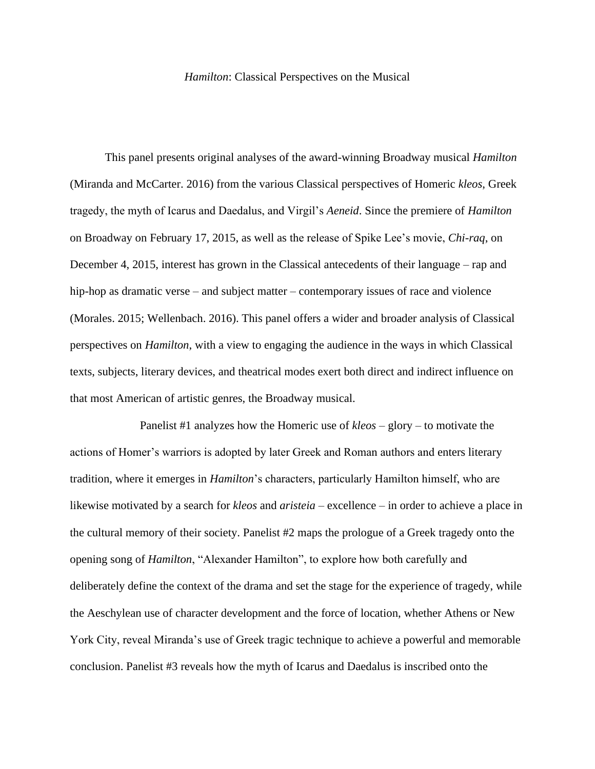## *Hamilton*: Classical Perspectives on the Musical

This panel presents original analyses of the award-winning Broadway musical *Hamilton* (Miranda and McCarter. 2016) from the various Classical perspectives of Homeric *kleos*, Greek tragedy, the myth of Icarus and Daedalus, and Virgil's *Aeneid*. Since the premiere of *Hamilton* on Broadway on February 17, 2015, as well as the release of Spike Lee's movie, *Chi-raq*, on December 4, 2015, interest has grown in the Classical antecedents of their language – rap and hip-hop as dramatic verse – and subject matter – contemporary issues of race and violence (Morales. 2015; Wellenbach. 2016). This panel offers a wider and broader analysis of Classical perspectives on *Hamilton*, with a view to engaging the audience in the ways in which Classical texts, subjects, literary devices, and theatrical modes exert both direct and indirect influence on that most American of artistic genres, the Broadway musical.

Panelist #1 analyzes how the Homeric use of *kleos* – glory – to motivate the actions of Homer's warriors is adopted by later Greek and Roman authors and enters literary tradition, where it emerges in *Hamilton*'s characters, particularly Hamilton himself, who are likewise motivated by a search for *kleos* and *aristeia* – excellence – in order to achieve a place in the cultural memory of their society. Panelist #2 maps the prologue of a Greek tragedy onto the opening song of *Hamilton*, "Alexander Hamilton", to explore how both carefully and deliberately define the context of the drama and set the stage for the experience of tragedy, while the Aeschylean use of character development and the force of location, whether Athens or New York City, reveal Miranda's use of Greek tragic technique to achieve a powerful and memorable conclusion. Panelist #3 reveals how the myth of Icarus and Daedalus is inscribed onto the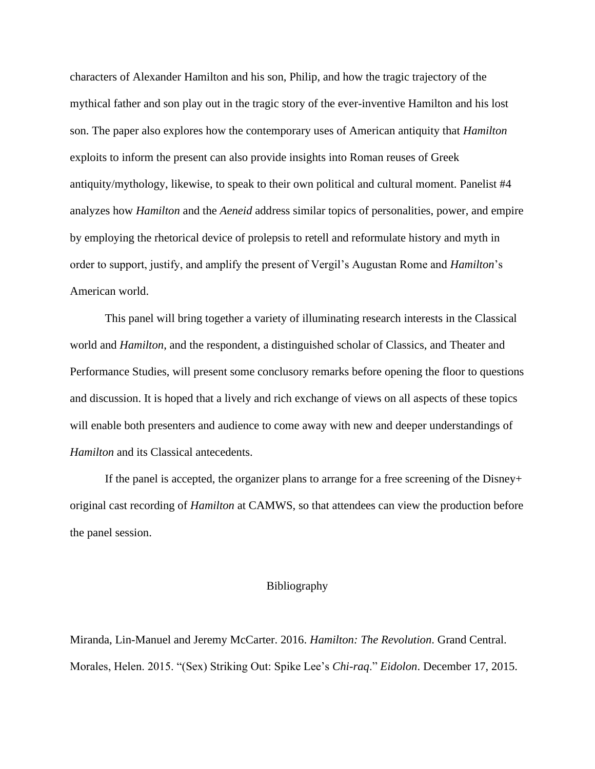characters of Alexander Hamilton and his son, Philip, and how the tragic trajectory of the mythical father and son play out in the tragic story of the ever-inventive Hamilton and his lost son. The paper also explores how the contemporary uses of American antiquity that *Hamilton* exploits to inform the present can also provide insights into Roman reuses of Greek antiquity/mythology, likewise, to speak to their own political and cultural moment. Panelist #4 analyzes how *Hamilton* and the *Aeneid* address similar topics of personalities, power, and empire by employing the rhetorical device of prolepsis to retell and reformulate history and myth in order to support, justify, and amplify the present of Vergil's Augustan Rome and *Hamilton*'s American world.

This panel will bring together a variety of illuminating research interests in the Classical world and *Hamilton*, and the respondent, a distinguished scholar of Classics, and Theater and Performance Studies, will present some conclusory remarks before opening the floor to questions and discussion. It is hoped that a lively and rich exchange of views on all aspects of these topics will enable both presenters and audience to come away with new and deeper understandings of *Hamilton* and its Classical antecedents.

If the panel is accepted, the organizer plans to arrange for a free screening of the Disney+ original cast recording of *Hamilton* at CAMWS, so that attendees can view the production before the panel session.

## Bibliography

Miranda, Lin-Manuel and Jeremy McCarter. 2016. *Hamilton: The Revolution*. Grand Central. Morales, Helen. 2015. "(Sex) Striking Out: Spike Lee's *Chi-raq*." *Eidolon*. December 17, 2015.